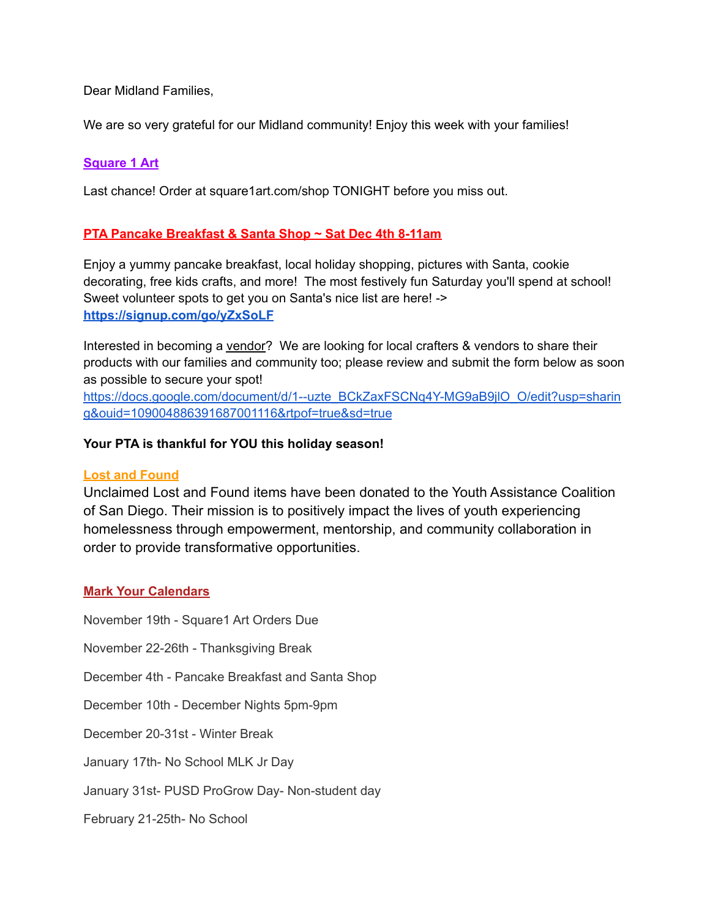Dear Midland Families,

We are so very grateful for our Midland community! Enjoy this week with your families!

# **Square 1 Art**

Last chance! Order at [square1art.com/shop](https://linkprotect.cudasvc.com/url?a=http%3a%2f%2fsquare1art.com%2fshop&c=E,1,hR4mQsUIfnrK_Ck2XV4eBcpoaFGkOryUz8lC6kLVW5fQR1pHwEt0Z5dQ6fnLllhkWNBmAq2Oq0lkysTHlUTp-HPPPF2Hw9SuiKnT2J9_xKKrV_QWPHh8&typo=0) TONIGHT before you miss out.

# **PTA Pancake Breakfast & Santa Shop ~ Sat Dec 4th 8-11am**

Enjoy a yummy pancake breakfast, local holiday shopping, pictures with Santa, cookie decorating, free kids crafts, and more! The most festively fun Saturday you'll spend at school! Sweet volunteer spots to get you on Santa's nice list are here! -> **[https://signup.com/go/yZxSoLF](https://linkprotect.cudasvc.com/url?a=https%3a%2f%2fsignup.com%2fgo%2fyZxSoLF&c=E,1,GhSjVzAfn6sGzTAALm8U4r6H7xQSuUSJF3FCttBuR_7vEXuMDoryqrkApQ12d5P3fc5TCMDsuCnOywU_SqFUMq-isDaoMR38nhNhmpmHyTh7DhBIhvUDUg,,&typo=0)**

Interested in becoming a vendor? We are looking for local crafters & vendors to share their products with our families and community too; please review and submit the form below as soon as possible to secure your spot! [https://docs.google.com/document/d/1--uzte\\_BCkZaxFSCNq4Y-MG9aB9jlO\\_O/edit?usp=sharin](https://docs.google.com/document/d/1--uzte_BCkZaxFSCNq4Y-MG9aB9jlO_O/edit?usp=sharing&ouid=109004886391687001116&rtpof=true&sd=true) [g&ouid=109004886391687001116&rtpof=true&sd=true](https://docs.google.com/document/d/1--uzte_BCkZaxFSCNq4Y-MG9aB9jlO_O/edit?usp=sharing&ouid=109004886391687001116&rtpof=true&sd=true)

### **Your PTA is thankful for YOU this holiday season!**

### **Lost and Found**

Unclaimed Lost and Found items have been donated to the Youth Assistance Coalition of San Diego. Their mission is to positively impact the lives of youth experiencing homelessness through empowerment, mentorship, and community collaboration in order to provide transformative opportunities.

### **Mark Your Calendars**

November 19th - Square1 Art Orders Due November 22-26th - Thanksgiving Break December 4th - Pancake Breakfast and Santa Shop December 10th - December Nights 5pm-9pm December 20-31st - Winter Break January 17th- No School MLK Jr Day January 31st- PUSD ProGrow Day- Non-student day

February 21-25th- No School